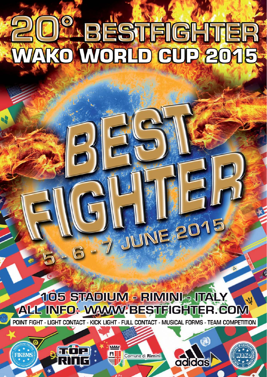# 20° BESTFIGHTER<br>WAKO WORLD GUP 2015

105 STADIUM - RIMINI - ITALY ALL INFO: WWW.BESTFIGHTER.COM

JUNE 201

**R** 

**adidas** 

POINT FIGHT - LIGHT CONTACT - KICK LIGHT - FULL CONTACT - MUSICAL FORMS - TEAM COMPETITION

Ħ,

**FIKBMS** 

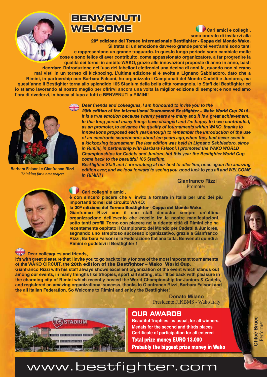

## **BENVENUTI WELCOME**

<sup>)</sup> Cari amici e colleghi. sono onorato di invitarvi alla

20<sup>a</sup> edizione del Torneo Internazionale Bestfighter - Coppa del Mondo Wako. Si tratta di un'emozione davvero grande perché vent'anni sono tanti e rappresentano un grande traguardo. In questo lungo periodo sono cambiate molte cose e sono felice di aver contribuito, come appassionato organizzatore, a far progredire la qualità dei tornei in ambito WAKO, grazie alle innovazioni proposte di anno in anno, basti ricordare l'introduzione dell'uso dei tabelloni elettronici una decina di anni fa, quando non si erano mai visti in un torneo di kickboxing. L'ultima edizione si è svolta a Lignano Sabbiadoro, dato che a Rimini, in partnership con Barbara Falsoni, ho organizzato i Campionati del Mondo Cadetti e Juniores, ma guest'anno il Bestighter torna allo splendido 105 Stadium della bella città romagnola. Io Staff del Bestfighter ed jo stiamo lavorando al nostro meglio per offrirvi ancora una volta la miglior edizione di sempre; e non vediamo l'ora di rivedervi, in bocca al lupo a tutti e BENVENUTI a RIMINI!



**Barbara Falsoni e Gianfranco Rizzi** Thinking for a new project

## Dear friends and colleagues, I am honoured to invite you to the<br>May 20th edition of the International Tournament Bestfinhter - Wake

20th edition of the International Tournament Bestfighter - Wako World Cup 2015. It is a true emotion because twenty years are many and it is a great achievement. In this long period many things have changed and I'm happy to have contributed. as an promoter, to advance the quality of tournaments within WAKO, thanks to innovations proposed each year, enough to remember the introduction of the use of an electronic scoreboards about ten years ago, when they had never seen in a kickboxing tournament. The last edition was held in Lignano Sabbiadoro, since in Rimini, in partnership with Barbara Falsoni, I promoted the WAKO WORLD Championships for Cadets and Juniors, but this year the Bestighter World Cup come back to the beautiful 105 Stadium.

Bestfighter Staff and I are working at our best to offer You, once again the amazing edition ever; and we look forward to seeing you, good luck to you all and WELCOME in RIMINI!

> **Gianfranco Rizzi** Promoter



#### Cari colleghi e amici,

è con sincero piacere che vi invito a tornare in Italia per uno dei più importanti tornei del circuito WAKO:

la 20<sup>a</sup> edizione del Torneo Bestfighter - Coppa del Mondo Wako. Gianfranco Rizzi con il suo staff dimostra sempre un'ottima organizzazione dell'evento che eccelle tra le nostre manifestazioni, sotto tanti profili. Torno con piacere nella ridente città di Rimini che ha recentemente ospitato il Campionato del Mondo per Cadetti & Juniores, segnando uno strepitoso successo organizzativo, grazie a Gianfranco Rizzi, Barbara Falsoni e la Federazione Italiana tutta. Benvenuti quindi a Rimini e godetevi il Bestfighter!

**ZIF** Dear colleagues and friends,

it's with great pleasure that I invite you to go back to Italy for one of the most important tournaments of the WAKO CIRCUIT, the 20th edition of the Bestfighter - Wako World Cup.

Gianfranco Rizzi with his staff always shows excellent organization of the event which stands out among our events, in many thinghs like trhopies, sporthall setting, etc. I'll be back with pleasure in the charming city of Rimini which recently hosted the World Championship for Juniors & Cadets, and registered an amazing organizational success, thanks to Gianfranco Rizzi, Barbara Falsoni and the all Italian Federation. So Welcome to Rimini and enjoy the Bestfighter!

> **Donato Milano** Presidente FIKBMS - Wako Italy

## **OUR AWARDS**

Beautiful Trophies, as usual, for all winners, Medals for the second and thirds places **Certificate of participation for all entered Total prize money EURO 13.000 Probably the biggest prize money in Wako** 

Performer



# www.bestfighter.com